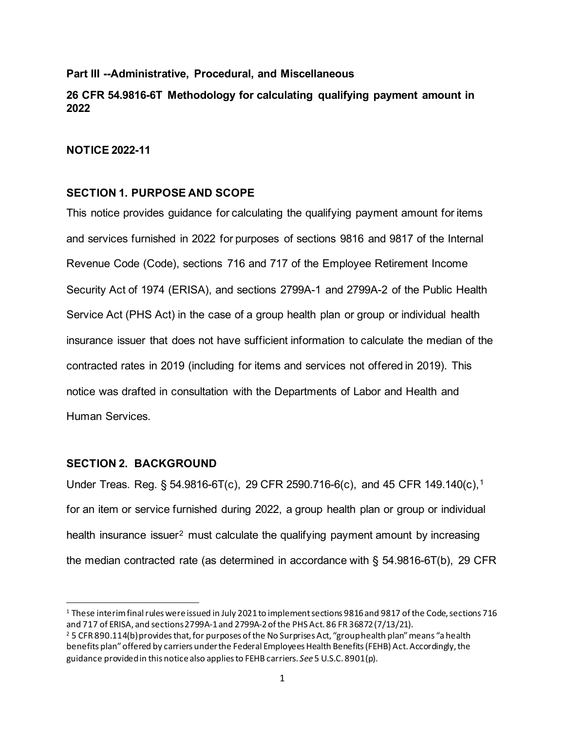### **Part III --Administrative, Procedural, and Miscellaneous**

# **26 CFR 54.9816-6T Methodology for calculating qualifying payment amount in 2022**

### **NOTICE 2022-11**

### **SECTION 1. PURPOSE AND SCOPE**

This notice provides guidance for calculating the qualifying payment amount for items and services furnished in 2022 for purposes of sections 9816 and 9817 of the Internal Revenue Code (Code), sections 716 and 717 of the Employee Retirement Income Security Act of 1974 (ERISA), and sections 2799A-1 and 2799A-2 of the Public Health Service Act (PHS Act) in the case of a group health plan or group or individual health insurance issuer that does not have sufficient information to calculate the median of the contracted rates in 2019 (including for items and services not offered in 2019). This notice was drafted in consultation with the Departments of Labor and Health and Human Services.

## **SECTION 2. BACKGROUND**

Under Treas. Reg. § 54.9816-6T(c), 29 CFR 2590.716-6(c), and 45 CFR 149.140(c),[1](#page-0-0) for an item or service furnished during 2022, a group health plan or group or individual health insurance issuer<sup>[2](#page-0-1)</sup> must calculate the qualifying payment amount by increasing the median contracted rate (as determined in accordance with § 54.9816-6T(b), 29 CFR

<span id="page-0-0"></span><sup>1</sup> These interim final rules were issued in July 2021 to implement sections 9816 and 9817 of the Code, sections 716 and 717 of ERISA, and sections 2799A-1 and 2799A-2 of the PHS Act. 86 FR 36872 (7/13/21).<br><sup>2</sup> 5 CFR 890.114(b) provides that, for purposes of the No Surprises Act, "group health plan" means "a health

<span id="page-0-1"></span>benefits plan" offered by carriers under the Federal Employees Health Benefits (FEHB) Act. Accordingly, the guidance provided in this notice also applies to FEHB carriers. *See* 5 U.S.C. 8901(p).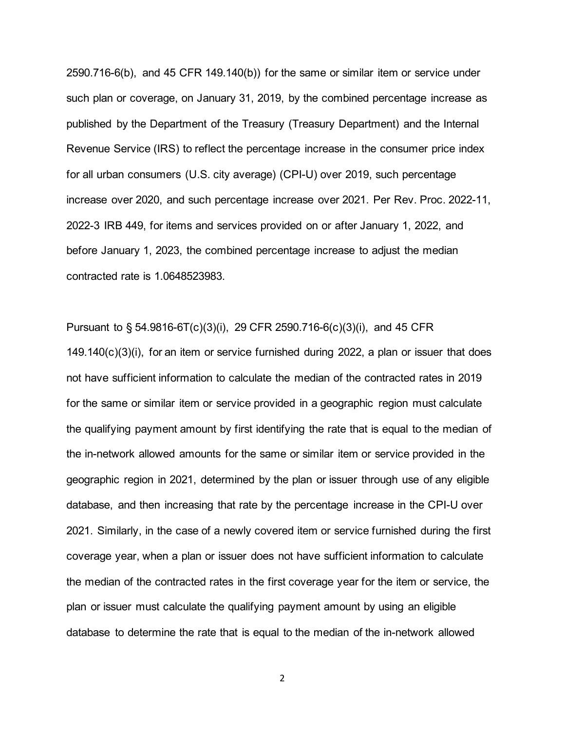2590.716-6(b), and 45 CFR 149.140(b)) for the same or similar item or service under such plan or coverage, on January 31, 2019, by the combined percentage increase as published by the Department of the Treasury (Treasury Department) and the Internal Revenue Service (IRS) to reflect the percentage increase in the consumer price index for all urban consumers (U.S. city average) (CPI-U) over 2019, such percentage increase over 2020, and such percentage increase over 2021. Per Rev. Proc. 2022-11, 2022-3 IRB 449, for items and services provided on or after January 1, 2022, and before January 1, 2023, the combined percentage increase to adjust the median contracted rate is 1.0648523983.

Pursuant to § 54.9816-6T(c)(3)(i), 29 CFR 2590.716-6(c)(3)(i), and 45 CFR  $149.140(c)(3)(i)$ , for an item or service furnished during 2022, a plan or issuer that does not have sufficient information to calculate the median of the contracted rates in 2019 for the same or similar item or service provided in a geographic region must calculate the qualifying payment amount by first identifying the rate that is equal to the median of the in-network allowed amounts for the same or similar item or service provided in the geographic region in 2021, determined by the plan or issuer through use of any eligible database, and then increasing that rate by the percentage increase in the CPI-U over 2021. Similarly, in the case of a newly covered item or service furnished during the first coverage year, when a plan or issuer does not have sufficient information to calculate the median of the contracted rates in the first coverage year for the item or service, the plan or issuer must calculate the qualifying payment amount by using an eligible database to determine the rate that is equal to the median of the in-network allowed

2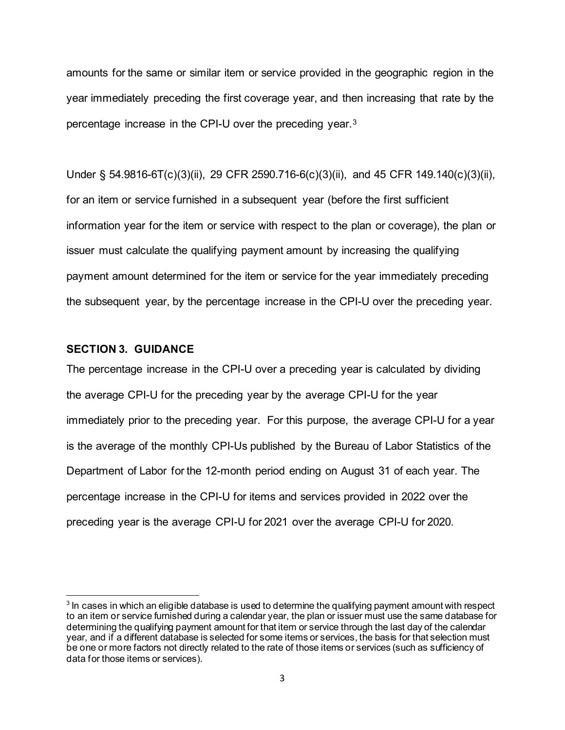amounts for the same or similar item or service provided in the geographic region in the year immediately preceding the first coverage year, and then increasing that rate by the percentage increase in the CPI-U over the preceding year.[3](#page-2-0)

Under § 54.9816-6T(c)(3)(ii), 29 CFR 2590.716-6(c)(3)(ii), and 45 CFR 149.140(c)(3)(ii), for an item or service furnished in a subsequent year (before the first sufficient information year for the item or service with respect to the plan or coverage), the plan or issuer must calculate the qualifying payment amount by increasing the qualifying payment amount determined for the item or service for the year immediately preceding the subsequent year, by the percentage increase in the CPI-U over the preceding year.

### **SECTION 3. GUIDANCE**

The percentage increase in the CPI-U over a preceding year is calculated by dividing the average CPI-U for the preceding year by the average CPI-U for the year immediately prior to the preceding year. For this purpose, the average CPI-U for a year is the average of the monthly CPI-Us published by the Bureau of Labor Statistics of the Department of Labor for the 12-month period ending on August 31 of each year. The percentage increase in the CPI-U for items and services provided in 2022 over the preceding year is the average CPI-U for 2021 over the average CPI-U for 2020.

<span id="page-2-0"></span> $3$  In cases in which an eligible database is used to determine the qualifying payment amount with respect to an item or service furnished during a calendar year, the plan or issuer must use the same database for determining the qualifying payment amount for that item or service through the last day of the calendar year, and if a different database is selected for some items or services, the basis for that selection must be one or more factors not directly related to the rate of those items or services (such as sufficiency of data for those items or services).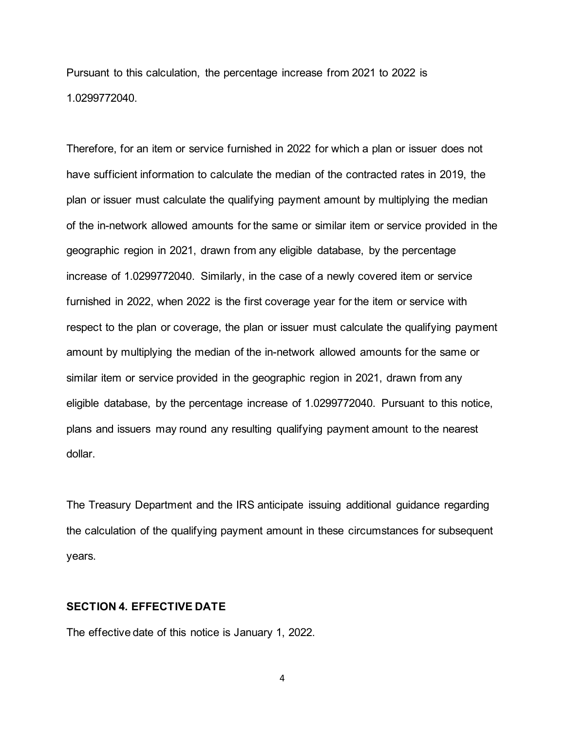Pursuant to this calculation, the percentage increase from 2021 to 2022 is 1.0299772040.

Therefore, for an item or service furnished in 2022 for which a plan or issuer does not have sufficient information to calculate the median of the contracted rates in 2019, the plan or issuer must calculate the qualifying payment amount by multiplying the median of the in-network allowed amounts for the same or similar item or service provided in the geographic region in 2021, drawn from any eligible database, by the percentage increase of 1.0299772040. Similarly, in the case of a newly covered item or service furnished in 2022, when 2022 is the first coverage year for the item or service with respect to the plan or coverage, the plan or issuer must calculate the qualifying payment amount by multiplying the median of the in-network allowed amounts for the same or similar item or service provided in the geographic region in 2021, drawn from any eligible database, by the percentage increase of 1.0299772040. Pursuant to this notice, plans and issuers may round any resulting qualifying payment amount to the nearest dollar.

The Treasury Department and the IRS anticipate issuing additional guidance regarding the calculation of the qualifying payment amount in these circumstances for subsequent years.

#### **SECTION 4. EFFECTIVE DATE**

The effective date of this notice is January 1, 2022.

4